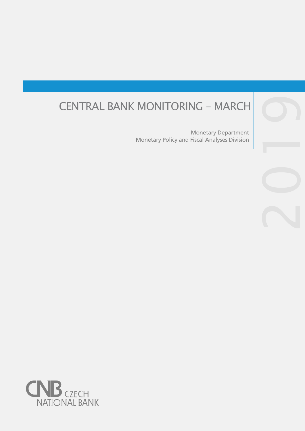# CENTRAL BANK MONITORING – MARCH

Monetary Policy and Fiscal Analyses Division Monetary Department

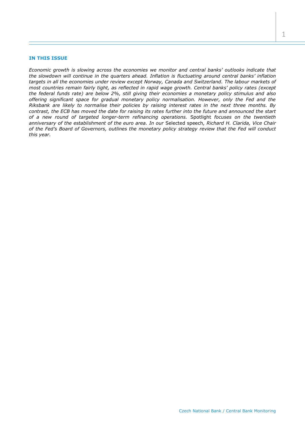## **IN THIS ISSUE**

*Economic growth is slowing across the economies we monitor and central banks' outlooks indicate that the slowdown will continue in the quarters ahead. Inflation is fluctuating around central banks' inflation targets in all the economies under review except Norway, Canada and Switzerland. The labour markets of most countries remain fairly tight, as reflected in rapid wage growth. Central banks' policy rates (except the federal funds rate) are below 2%, still giving their economies a monetary policy stimulus and also offering significant space for gradual monetary policy normalisation. However, only the Fed and the Riksbank are likely to normalise their policies by raising interest rates in the next three months. By contrast, the ECB has moved the date for raising its rates further into the future and announced the start of a new round of targeted longer-term refinancing operations.* Spotlight *focuses on the twentieth anniversary of the establishment of the euro area. In our* Selected speech*, Richard H. Clarida, Vice Chair of the Fed's Board of Governors, outlines the monetary policy strategy review that the Fed will conduct this year.*

1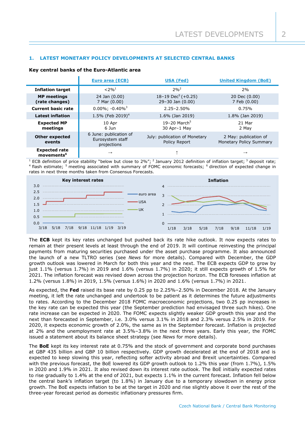# **1. LATEST MONETARY POLICY DEVELOPMENTS AT SELECTED CENTRAL BANKS**

|                                                | <b>Euro area (ECB)</b>                                    | <b>USA (Fed)</b>                                        | <b>United Kingdom (BoE)</b>                      |  |
|------------------------------------------------|-----------------------------------------------------------|---------------------------------------------------------|--------------------------------------------------|--|
| <b>Inflation target</b>                        | $< 2\%$ <sup>1</sup>                                      | $2%^{2}$                                                | 2%                                               |  |
| <b>MP</b> meetings<br>(rate changes)           | 24 Jan (0.00)<br>7 Mar (0.00)                             | $18-19 \text{ Dec}^5 (+0.25)$<br>$29 - 30$ Jan $(0.00)$ | 20 Dec (0.00)<br>7 Feb (0.00)                    |  |
| <b>Current basic rate</b>                      | $0.00\%$ ; $-0.40\%$ <sup>3</sup>                         | $2.25 - 2.50%$                                          | 0.75%                                            |  |
| <b>Latest inflation</b>                        | 1.5% (Feb 2019) <sup>4</sup>                              | 1.6% (Jan 2019)                                         | 1.8% (Jan 2019)                                  |  |
| <b>Expected MP</b><br>meetings                 | 10 Apr<br>6 Jun                                           | 19-20 March <sup>5</sup><br>30 Apr-1 May                | 21 Mar<br>2 May                                  |  |
| <b>Other expected</b><br>events                | 6 June: publication of<br>Eurosystem staff<br>projections | July: publication of Monetary<br>Policy Report          | 2 May: publication of<br>Monetary Policy Summary |  |
| <b>Expected rate</b><br>movements <sup>6</sup> | $\rightarrow$                                             |                                                         | $\rightarrow$                                    |  |

### **Key central banks of the Euro-Atlantic area**

<sup>1</sup> ECB definition of price stability "below but close to 2%"; <sup>2</sup> January 2012 definition of inflation target; <sup>3</sup> deposit rate; <sup>4</sup> flash estimate; <sup>5</sup> meeting associated with summary of FOMC economic forecasts; <sup>6</sup> direction of expected change in rates in next three months taken from Consensus Forecasts.



The **ECB** kept its key rates unchanged but pushed back its rate hike outlook. It now expects rates to remain at their present levels at least through the end of 2019. It will continue reinvesting the principal payments from maturing securities purchased under the asset purchase programme. It also announced the launch of a new TLTRO series (see *News* for more details). Compared with December, the GDP growth outlook was lowered in March for both this year and the next. The ECB expects GDP to grow by just 1.1% (versus 1.7%) in 2019 and 1.6% (versus 1.7%) in 2020; it still expects growth of 1.5% for 2021. The inflation forecast was revised down across the projection horizon. The ECB foresees inflation at 1.2% (versus 1.8%) in 2019, 1.5% (versus 1.6%) in 2020 and 1.6% (versus 1.7%) in 2021.

As expected, the **Fed** raised its base rate by 0.25 pp to 2.25%–2.50% in December 2018. At the January meeting, it left the rate unchanged and undertook to be patient as it determines the future adjustments to rates. According to the December 2018 FOMC macroeconomic projections, two 0.25 pp increases in the key rate can be expected this year (the September prediction had envisaged three such hikes). One rate increase can be expected in 2020. The FOMC expects slightly weaker GDP growth this year and the next than forecasted in September, i.e. 3.0% versus 3.1% in 2018 and 2.3% versus 2.5% in 2019. For 2020, it expects economic growth of 2.0%, the same as in the September forecast. Inflation is projected at 2% and the unemployment rate at 3.5%–3.8% in the next three years. Early this year, the FOMC issued a statement about its balance sheet strategy (see *News* for more details).

The **BoE** kept its key interest rate at 0.75% and the stock of government and corporate bond purchases at GBP 435 billion and GBP 10 billion respectively. GDP growth decelerated at the end of 2018 and is expected to keep slowing this year, reflecting softer activity abroad and Brexit uncertainties. Compared with the previous forecast, the BoE lowered its GDP growth outlook to 1.2% this year (from 1.7%), 1.5% in 2020 and 1.9% in 2021. It also revised down its interest rate outlook. The BoE initially expected rates to rise gradually to 1.4% at the end of 2021, but expects 1.1% in the current forecast. Inflation fell below the central bank's inflation target (to 1.8%) in January due to a temporary slowdown in energy price growth. The BoE expects inflation to be at the target in 2020 and rise slightly above it over the rest of the three-year forecast period as domestic inflationary pressures firm.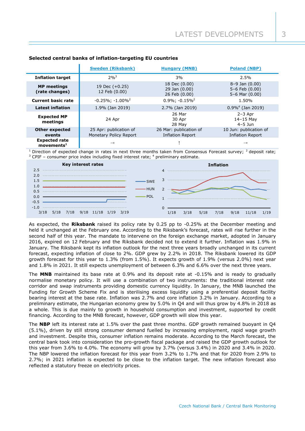|                                                   | <b>Sweden (Riksbank)</b>                         | <b>Hungary (MNB)</b>                              | <b>Poland (NBP)</b>                                            |
|---------------------------------------------------|--------------------------------------------------|---------------------------------------------------|----------------------------------------------------------------|
| <b>Inflation target</b>                           | $2%^{3}$                                         | 3%                                                | 2.5%                                                           |
| <b>MP</b> meetings<br>(rate changes)              | 19 Dec $(+0.25)$<br>12 Feb (0.00)                | 18 Dec (0.00)<br>29 Jan (0.00)<br>26 Feb (0.00)   | $8-9$ Jan $(0.00)$<br>$5-6$ Feb $(0.00)$<br>$5-6$ Mar $(0.00)$ |
| <b>Current basic rate</b>                         | $-0.25\%$ ; $-1.00\%$ <sup>2</sup>               | $0.9\%$ ; $-0.15\%$ <sup>2</sup>                  | 1.50%                                                          |
| <b>Latest inflation</b>                           | 1.9% (Jan 2019)                                  | 2.7% (Jan 2019)                                   | $0.9\%$ <sup>4</sup> (Jan 2019)                                |
| <b>Expected MP</b><br>meetings                    | 24 Apr                                           | 26 Mar<br>30 Apr<br>28 May                        | $2-3$ Apr<br>$14-15$ May<br>$4 - 5$ $\mu$ n                    |
| <b>Other expected</b><br>events                   | 25 Apr: publication of<br>Monetary Policy Report | 26 Mar: publication of<br><b>Inflation Report</b> | 10 Jun: publication of<br><b>Inflation Report</b>              |
| <b>Expected rate</b><br>$move$ ments <sup>1</sup> | $\rightarrow$                                    |                                                   |                                                                |

# **Selected central banks of inflation-targeting EU countries**

Direction of expected change in rates in next three months taken from Consensus Forecast survey; <sup>2</sup> deposit rate; <sup>3</sup> CPIF – consumer price index including fixed interest rate; <sup>4</sup> preliminary estimate.



As expected, the **Riksbank** raised its policy rate by 0.25 pp to -0.25% at the December meeting and held it unchanged at the February one. According to the Riksbank's forecast, rates will rise further in the second half of this year. The mandate to intervene on the foreign exchange market, adopted in January 2016, expired on 12 February and the Riksbank decided not to extend it further. Inflation was 1.9% in January. The Riksbank kept its inflation outlook for the next three years broadly unchanged in its current forecast, expecting inflation of close to 2%. GDP grew by 2.2% in 2018. The Riksbank lowered its GDP growth forecast for this year to 1.3% (from 1.5%). It expects growth of 1.9% (versus 2.0%) next year and 1.8% in 2021. It still expects unemployment of between 6.3% and 6.6% over the next three years.

The **MNB** maintained its base rate at 0.9% and its deposit rate at -0.15% and is ready to gradually normalise monetary policy. It will use a combination of two instruments: the traditional interest rate corridor and swap instruments providing domestic currency liquidity. In January, the MNB launched the Funding for Growth Scheme Fix and is sterilising excess liquidity using a preferential deposit facility bearing interest at the base rate. Inflation was 2.7% and core inflation 3.2% in January. According to a preliminary estimate, the Hungarian economy grew by 5.0% in Q4 and will thus grow by 4.8% in 2018 as a whole. This is due mainly to growth in household consumption and investment, supported by credit financing. According to the MNB forecast, however, GDP growth will slow this year.

The **NBP** left its interest rate at 1.5% over the past three months. GDP growth remained buoyant in Q4 (5.1%), driven by still strong consumer demand fuelled by increasing employment, rapid wage growth and investment. Despite this, consumer inflation remains moderate. According to the March forecast, the central bank took into consideration the pro-growth fiscal package and raised the GDP growth outlook for this year from 3.6% to 4.0%. The economy will grow by 3.7% (versus 3.4%) in 2020 and 3.4% in 2020. The NBP lowered the inflation forecast for this year from 3.2% to 1.7% and that for 2020 from 2.9% to 2.7%; in 2021 inflation is expected to be close to the inflation target. The new inflation forecast also reflected a statutory freeze on electricity prices.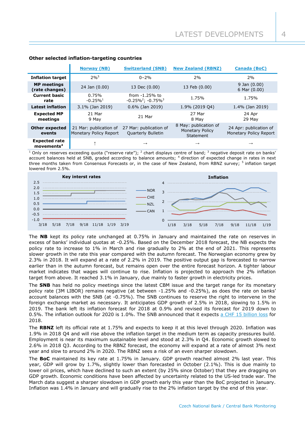|                                                   | <b>Norway (NB)</b>                               | <b>Switzerland (SNB)</b>                      | <b>New Zealand (RBNZ)</b>                                    | <b>Canada (BoC)</b>                              |
|---------------------------------------------------|--------------------------------------------------|-----------------------------------------------|--------------------------------------------------------------|--------------------------------------------------|
| <b>Inflation target</b>                           | $2%^{5}$                                         | $0 - 2%$                                      | 2%                                                           | 2%                                               |
| <b>MP</b> meetings<br>(rate changes)              | 24 Jan (0.00)                                    | 13 Dec (0.00)                                 | 13 Feb (0.00)                                                | $9$ Jan $(0.00)$<br>$6$ Mar $(0.00)$             |
| <b>Current basic</b><br>rate                      | 0.75%<br>$-0.25\%$ <sup>1</sup>                  | from $-1.25%$ to<br>$-0.25\%^2$ ; $-0.75\%^3$ | 1.75%                                                        | 1.75%                                            |
| <b>Latest inflation</b>                           | 3.1% (Jan 2019)                                  | $0.6\%$ (Jan 2019)                            | 1.9% (2019 04)                                               | 1.4% (Jan 2019)                                  |
| <b>Expected MP</b><br>meetings                    | 21 Mar<br>9 May                                  | 21 Mar                                        | 27 Mar<br>8 May                                              | 24 Apr<br>29 May                                 |
| <b>Other expected</b><br>events                   | 21 Mar: publication of<br>Monetary Policy Report | 27 Mar: publication of<br>Quarterly Bulletin  | 8 May: publication of<br><b>Monetary Policy</b><br>Statement | 24 Apr: publication of<br>Monetary Policy Report |
| <b>Expected rate</b><br>$m$ ovements <sup>4</sup> |                                                  | $\rightarrow$                                 | $\rightarrow$                                                | $\rightarrow$                                    |

# **Other selected inflation-targeting countries**

<sup>1</sup> Only on reserves exceeding quota ("reserve rate"); <sup>2</sup> chart displays centre of band; <sup>3</sup> negative deposit rate on banks' account balances held at SNB, graded according to balance amounts; <sup>4</sup> direction of expected change in rates in next three months taken from Consensus Forecasts or, in the case of New Zealand, from RBNZ survey; <sup>5</sup> inflation target lowered from 2.5%.



The **NB** kept its policy rate unchanged at 0.75% in January and maintained the rate on reserves in excess of banks' individual quotas at -0.25%. Based on the December 2018 forecast, the NB expects the policy rate to increase to 1% in March and rise gradually to 2% at the end of 2021. This represents slower growth in the rate this year compared with the autumn forecast. The Norwegian economy grew by 2.3% in 2018. It will expand at a rate of 2.2% in 2019. The positive output gap is forecasted to narrow earlier than in the autumn forecast, but remains open over the entire forecast horizon. A tighter labour market indicates that wages will continue to rise. Inflation is projected to approach the 2% inflation target from above. It reached 3.1% in January, due mainly to faster growth in electricity prices.

The **SNB** has held no policy meetings since the latest CBM issue and the target range for its monetary policy rate (3M LIBOR) remains negative (at between -1.25% and -0.25%), as does the rate on banks' account balances with the SNB (at -0.75%). The SNB continues to reserve the right to intervene in the foreign exchange market as necessary. It anticipates GDP growth of 2.5% in 2018, slowing to 1.5% in 2019. The bank left its inflation forecast for 2018 at 0.9% and revised its forecast for 2019 down to 0.5%. The inflation outlook for 2020 is 1.0%. The SNB announced that it expects [a CHF 15 billion loss](https://snb.ch/en/mmr/reference/pre_20190109/source/pre_20190109.en.pdf) for 2018.

The **RBNZ** left its official rate at 1.75% and expects to keep it at this level through 2020. Inflation was 1.9% in 2018 Q4 and will rise above the inflation target in the medium term as capacity pressures build. Employment is near its maximum sustainable level and stood at 2.3% in Q4. Economic growth slowed to 2.6% in 2018 Q3. According to the RBNZ forecast, the economy will expand at a rate of almost 3% next year and slow to around 2% in 2020. The RBNZ sees a risk of an even sharper slowdown.

The **BoC** maintained its key rate at 1.75% in January. GDP growth reached almost 2% last year. This year, GDP will grow by 1.7%, slightly lower than forecasted in October (2.1%). This is due mainly to lower oil prices, which have declined to such an extent (by 25% since October) that they are dragging on GDP growth. Economic conditions have been affected by uncertainty related to the US-led trade war. The March data suggest a sharper slowdown in GDP growth early this year than the BoC projected in January. Inflation was 1.4% in January and will gradually rise to the 2% inflation target by the end of this year.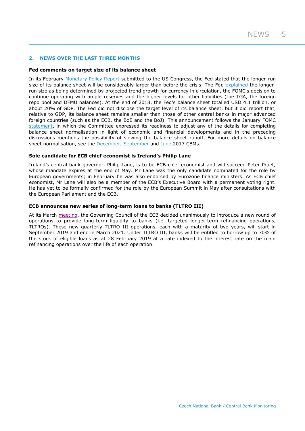## **2. NEWS OVER THE LAST THREE MONTHS**

#### **Fed comments on target size of its balance sheet**

In its February [Monetary Policy Report](https://www.federalreserve.gov/monetarypolicy/2019-02-mpr-summary.htm) submitted to the US Congress, the Fed stated that the longer-run size of its balance sheet will be considerably larger than before the crisis. The Fed [explained](https://www.federalreserve.gov/monetarypolicy/2019-02-mpr-part2.htm) the longerrun size as being determined by projected trend growth for currency in circulation, the FOMC's decision to continue operating with ample reserves and the higher levels for other liabilities (the TGA, the foreign repo pool and DFMU balances). At the end of 2018, the Fed's balance sheet totalled USD 4.1 trillion, or about 20% of GDP. The Fed did not disclose the target level of its balance sheet, but it did report that, relative to GDP, its balance sheet remains smaller than those of other central banks in major advanced foreign countries (such as the ECB, the BoE and the BoJ). This announcement follows the January FOMC [statement,](https://www.federalreserve.gov/monetarypolicy/fomcminutes20190130.htm) in which the Committee expressed its readiness to adjust any of the details for completing balance sheet normalisation in light of economic and financial developments and in the preceding discussions mentions the possibility of slowing the balance sheet runoff. For more details on balance sheet normalisation, see the [December,](http://www.cnb.cz/miranda2/export/sites/www.cnb.cz/en/monetary_policy/monitoring/download/1704_cbm.pdf) [September](http://www.cnb.cz/miranda2/export/sites/www.cnb.cz/en/monetary_policy/monitoring/download/1703_cbm.pdf) and [June](http://www.cnb.cz/miranda2/export/sites/www.cnb.cz/en/monetary_policy/monitoring/download/1702_cbm.pdf) 2017 CBMs.

### **Sole candidate for ECB chief economist is Ireland's Philip Lane**

Ireland's central bank governor, Philip Lane, is to be ECB chief economist and will succeed Peter Praet, whose mandate expires at the end of May. Mr Lane was the only candidate nominated for the role by European governments; in February he was also endorsed by Eurozone finance ministers. As ECB chief economist, Mr Lane will also be a member of the ECB's Executive Board with a permanent voting right. He has yet to be formally confirmed for the role by the European Summit in May after consultations with the European Parliament and the ECB.

# **ECB announces new series of long-term loans to banks (TLTRO III)**

At its March [meeting,](https://www.ecb.europa.eu/press/pr/date/2019/html/ecb.mp190307~7d8a9d2665.en.html) the Governing Council of the ECB decided unanimously to introduce a new round of operations to provide long-term liquidity to banks (i.e. targeted longer-term refinancing operations, TLTROs). These new quarterly TLTRO III operations, each with a maturity of two years, will start in September 2019 and end in March 2021. Under TLTRO III, banks will be entitled to borrow up to 30% of the stock of eligible loans as at 28 February 2019 at a rate indexed to the interest rate on the main refinancing operations over the life of each operation.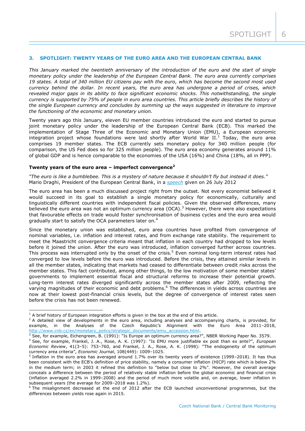# **3. SPOTLIGHT: TWENTY YEARS OF THE EURO AREA AND THE EUROPEAN CENTRAL BANK**

*This January marked the twentieth anniversary of the introduction of the euro and the start of single monetary policy under the leadership of the European Central Bank. The euro area currently comprises 19 states. A total of 340 million EU citizens pay with the euro, which has become the second most used currency behind the dollar. In recent years, the euro area has undergone a period of crises, which revealed major gaps in its ability to face significant economic shocks. This notwithstanding, the single currency is supported by 75% of people in euro area countries. This article briefly describes the history of the single European currency and concludes by summing up the ways suggested in literature to improve the functioning of the economic and monetary union.*

Twenty years ago this January, eleven EU member countries introduced the euro and started to pursue joint monetary policy under the leadership of the European Central Bank (ECB). This marked the implementation of Stage Three of the Economic and Monetary Union (EMU), a European economic integration project whose foundations were laid shortly after World War II.<sup>1</sup> Today, the euro area comprises 19 member states. The ECB currently sets monetary policy for 340 million people (for comparison, the US Fed does so for 325 million people). The euro area economy generates around 11% of global GDP and is hence comparable to the economies of the USA (16%) and China (18%, all in PPP).

## **Twenty years of the euro area – imperfect convergence<sup>2</sup>**

*"The euro is like a bumblebee. This is a mystery of nature because it shouldn't fly but instead it does."* Mario Draghi, President of the European Central Bank, in a *[speech](https://www.ecb.europa.eu/press/key/date/2012/html/sp120726.en.html)* given on 26 July 2012

The euro area has been a much discussed project right from the outset. Not every economist believed it would succeed in its goal to establish a single monetary policy for economically, culturally and linguistically different countries with independent fiscal policies. Given the observed differences, many believed the euro area was not an optimum currency area (OCA).<sup>3</sup> However, there were also expectations that favourable effects on trade would foster synchronisation of business cycles and the euro area would gradually start to satisfy the OCA parameters later on.<sup>4</sup>

Since the monetary union was established, euro area countries have profited from convergence of nominal variables, i.e. inflation and interest rates, and from exchange rate stability. The requirement to meet the Maastricht convergence criteria meant that inflation in each country had dropped to low levels before it joined the union. After the euro was introduced, inflation converged further across countries. This process was interrupted only by the onset of the crisis.<sup>5</sup> Even nominal long-term interest rates had converged to low levels before the euro was introduced. Before the crisis, they attained similar levels in all the member states, indicating that markets had ceased to differentiate between credit risks across the member states. This fact contributed, among other things, to the low motivation of some member states' governments to implement essential fiscal and structural reforms to increase their potential growth. Long-term interest rates diverged significantly across the member states after 2009, reflecting the varying magnitudes of their economic and debt problems.<sup>6</sup> The differences in yields across countries are now at their lowest post-financial crisis levels, but the degree of convergence of interest rates seen before the crisis has not been renewed.

-

 $<sup>1</sup>$  A brief history of European integration efforts is given in the box at the end of this article.</sup>

<sup>&</sup>lt;sup>2</sup> A detailed view of developments in the euro area, including analyses and accompanying charts, is provided, for example, in the Analyses of the Czech Republic's Alignment with the Euro Area 2011–2018, [http://www.cnb.cz/en/monetary\\_policy/strategic\\_documents/emu\\_accession.html.](http://www.cnb.cz/en/monetary_policy/strategic_documents/emu_accession.html)

 $3$  See, for example, Eichengreen, B. (1991): "Is Europe an optimum currency area?", NBER Working Paper No. 3579.

<sup>4</sup> See, for example, Frankel, J. A., Rose, A. K. (1997): "Is EMU more justifiable ex post than ex ante?", *European Economic Review*, 41(3–5): 753–760, and Frankel, J. A., Rose, A. K. (1998): "The endogeneity of the optimum currency area criteria", *Economic Journal*, 108(449): 1009–1025.

<sup>&</sup>lt;sup>5</sup> Inflation in the euro area has averaged around 1.7% over its twenty years of existence (1999–2018). It has thus been consistent with the ECB's definition of price stability, namely a consumer inflation (HICP) rate which is below 2% in the medium term; in 2003 it refined this definition to "below but close to 2%". However, the overall average conceals a difference between the period of relatively stable inflation before the global economic and financial crisis (inflation averaged 2.2% in 1999–2008) and the period of much more volatile and, on average, lower inflation in subsequent years (the average for 2009–2018 was 1.2%).

<sup>6</sup> The misalignment decreased at the end of 2012 after the ECB launched unconventional programmes, but the differences between yields rose again in 2015.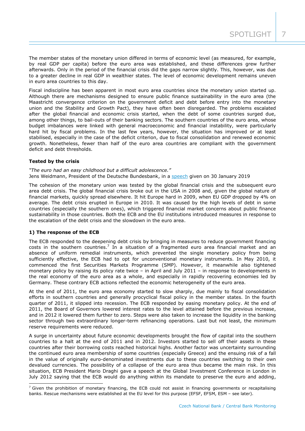The member states of the monetary union differed in terms of economic level (as measured, for example, by real GDP per capita) before the euro area was established, and these differences grew further afterwards. Only in the period of the financial crisis did the gaps narrow slightly. This, however, was due to a greater decline in real GDP in wealthier states. The level of economic development remains uneven in euro area countries to this day.

Fiscal indiscipline has been apparent in most euro area countries since the monetary union started up. Although there are mechanisms designed to ensure public finance sustainability in the euro area (the Maastricht convergence criterion on the government deficit and debt before entry into the monetary union and the Stability and Growth Pact), they have often been disregarded. The problems escalated after the global financial and economic crisis started, when the debt of some countries surged due, among other things, to bail-outs of their banking sectors. The southern countries of the euro area, whose budget imbalances were linked with general macroeconomic and financial instability, were particularly hard hit by fiscal problems. In the last few years, however, the situation has improved or at least stabilised, especially in the case of the deficit criterion, due to fiscal consolidation and renewed economic growth. Nonetheless, fewer than half of the euro area countries are compliant with the government deficit and debt thresholds.

# **Tested by the crisis**

*"The euro had an easy childhood but a difficult adolescence."* Jens Weidmann, President of the Deutsche Bundesbank, in a [speech](https://www.bis.org/review/r190204d.pdf) given on 30 January 2019

The cohesion of the monetary union was tested by the global financial crisis and the subsequent euro area debt crisis. The global financial crisis broke out in the USA in 2008 and, given the global nature of financial markets, quickly spread elsewhere. It hit Europe hard in 2009, when EU GDP dropped by 4% on average. The debt crisis erupted in Europe in 2010. It was caused by the high levels of debt in some countries (especially the southern ones), which triggered financial market concerns about public finance sustainability in those countries. Both the ECB and the EU institutions introduced measures in response to the escalation of the debt crisis and the slowdown in the euro area.

#### **1) The response of the ECB**

-

The ECB responded to the deepening debt crisis by bringing in measures to reduce government financing costs in the southern countries.<sup>7</sup> In a situation of a fragmented euro area financial market and an absence of uniform remedial instruments, which prevented the single monetary policy from being sufficiently effective, the ECB had to opt for unconventional monetary instruments. In May 2010, it commenced the first Securities Markets Programme (SMP). However, it meanwhile also tightened monetary policy by raising its policy rate twice – in April and July 2011 – in response to developments in the real economy of the euro area as a whole, and especially in rapidly recovering economies led by Germany. These contrary ECB actions reflected the economic heterogeneity of the euro area.

At the end of 2011, the euro area economy started to slow sharply, due mainly to fiscal consolidation efforts in southern countries and generally procyclical fiscal policy in the member states. In the fourth quarter of 2011, it slipped into recession. The ECB responded by easing monetary policy. At the end of 2011, the Board of Governors lowered interest rates to the level attained before the previous increase, and in 2012 it lowered them further to zero. Steps were also taken to increase the liquidity in the banking sector through two extraordinary longer-term refinancing operations. Last but not least, the minimum reserve requirements were reduced.

A surge in uncertainty about future economic developments brought the flow of capital into the southern countries to a halt at the end of 2011 and in 2012. Investors started to sell off their assets in these countries after their borrowing costs reached historical highs. Another factor was uncertainty surrounding the continued euro area membership of some countries (especially Greece) and the ensuing risk of a fall in the value of originally euro-denominated investments due to these countries switching to their own devalued currencies. The possibility of a collapse of the euro area thus became the main risk. In this situation, ECB President Mario Draghi gave a speech at the Global Investment Conference in London in July 2012 saying that the ECB would do anything within its mandate to preserve the euro and adding,

 $<sup>7</sup>$  Given the prohibition of monetary financing, the ECB could not assist in financing governments or recapitalising</sup> banks. Rescue mechanisms were established at the EU level for this purpose (EFSF, EFSM, ESM – see later).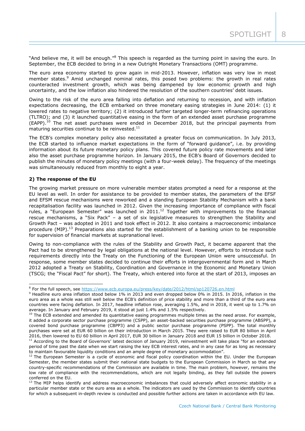"And believe me, it will be enough."<sup>8</sup> This speech is regarded as the turning point in saving the euro. In September, the ECB decided to bring in a new Outright Monetary Transactions (OMT) programme.

The euro area economy started to grow again in mid-2013. However, inflation was very low in most member states.<sup>9</sup> Amid unchanged nominal rates, this posed two problems: the growth in real rates counteracted investment growth, which was being dampened by low economic growth and high uncertainty, and the low inflation also hindered the resolution of the southern countries' debt issues.

Owing to the risk of the euro area falling into deflation and returning to recession, and with inflation expectations decreasing, the ECB embarked on three monetary easing strategies in June 2014: (1) it lowered rates to negative territory; (2) it introduced further targeted longer-term refinancing operations (TLTRO); and (3) it launched quantitative easing in the form of an extended asset purchase programme (EAPP).<sup>10</sup> The net asset purchases were ended in December 2018, but the principal payments from maturing securities continue to be reinvested. $^{11}$ 

The ECB's complex monetary policy also necessitated a greater focus on communication. In July 2013, the ECB started to influence market expectations in the form of "forward guidance", i.e. by providing information about its future monetary policy plans. This covered future policy rate movements and later also the asset purchase programme horizon. In January 2015, the ECB's Board of Governors decided to publish the minutes of monetary policy meetings (with a four-week delay). The frequency of the meetings was simultaneously reduced from monthly to eight a year.

# **2) The response of the EU**

The growing market pressure on more vulnerable member states prompted a need for a response at the EU level as well. In order for assistance to be provided to member states, the parameters of the EFSF and EFSM rescue mechanisms were reworked and a standing European Stability Mechanism with a bank recapitalisation facility was launched in 2012. Given the increasing importance of compliance with fiscal rules, a "European Semester" was launched in 2011.<sup>12</sup> Together with improvements to the financial rescue mechanisms, a "Six Pack" – a set of six legislative measures to strengthen the Stability and Growth Pact – was adopted in 2011 and took effect in 2012. It also contains a macroeconomic imbalance procedure (MIP).<sup>13</sup> Preparations also started for the establishment of a banking union to be responsible for supervision of financial markets at supranational level.

Owing to non-compliance with the rules of the Stability and Growth Pact, it became apparent that the Pact had to be strengthened by legal obligations at the national level. However, efforts to introduce such requirements directly into the Treaty on the Functioning of the European Union were unsuccessful. In response, some member states decided to continue their efforts in intergovernmental form and in March 2012 adopted a Treaty on Stability, Coordination and Governance in the Economic and Monetary Union (TSCG; the "Fiscal Pact" for short). The Treaty, which entered into force at the start of 2013, imposes an

 8 For the full speech, see<https://www.ecb.europa.eu/press/key/date/2012/html/sp120726.en.html>

<sup>&</sup>lt;sup>9</sup> Headline euro area inflation stood below 1% in 2013 and even dropped below 0% in 2015. In 2016, inflation in the euro area as a whole was still well below the ECB's definition of price stability and more than a third of the euro area countries were facing deflation. In 2017, headline inflation rose, averaging 1.5%, and in 2018, it went up to 1.7% on average. In January and February 2019, it stood at just 1.4% and 1.5% respectively.

 $10$  The ECB extended and amended its quantitative easing programmes multiple times as the need arose. For example, it added a corporate sector purchase programme (CSPP), an asset-backed securities purchase programme (ABSPP), a covered bond purchase programme (CBPP3) and a public sector purchase programme (PSPP). The total monthly purchases were set at EUR 60 billion on their introduction in March 2015. They were raised to EUR 80 billion in April 2016, then lowered to EU 60 billion in April 2017, EUR 30 billion in January 2018 and EUR 15 billion in October 2018.

 $11$  According to the Board of Governors' latest decision of January 2019, reinvestment will take place "for an extended period of time past the date when we start raising the key ECB interest rates, and in any case for as long as necessary to maintain favourable liquidity conditions and an ample degree of monetary accommodation".

 $12$  The European Semester is a cycle of economic and fiscal policy coordination within the EU. Under the European Semester, the member states submit their national state budgets to the European Commission in March so that any country-specific recommendations of the Commission are available in time. The main problem, however, remains the low rate of compliance with the recommendations, which are not legally binding, as they fall outside the powers conferred on the EU.

<sup>&</sup>lt;sup>13</sup> The MIP helps identify and address macroeconomic imbalances that could adversely affect economic stability in a particular member state or the euro area as a whole. The indicators are used by the Commission to identify countries for which a subsequent in-depth review is conducted and possible further actions are taken in accordance with EU law.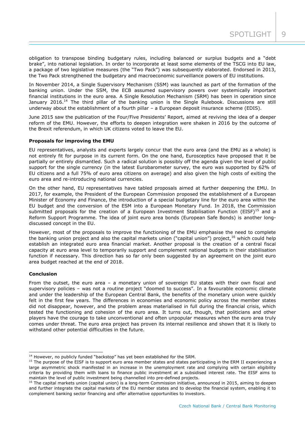obligation to transpose binding budgetary rules, including balanced or surplus budgets and a "debt brake", into national legislation. In order to incorporate at least some elements of the TSCG into EU law, a package of two legislative measures (the "Two Pack") was subsequently elaborated. Endorsed in 2013, the Two Pack strengthened the budgetary and macroeconomic surveillance powers of EU institutions.

In November 2014, a Single Supervisory Mechanism (SSM) was launched as part of the formation of the banking union. Under the SSM, the ECB assumed supervisory powers over systemically important financial institutions in the euro area. A Single Resolution Mechanism (SRM) has been in operation since January 2016.<sup>14</sup> The third pillar of the banking union is the Single Rulebook. Discussions are still underway about the establishment of a fourth pillar – a European deposit insurance scheme (EDIS).

June 2015 saw the publication of the Four/Five Presidents' Report, aimed at reviving the idea of a deeper reform of the EMU. However, the efforts to deepen integration were shaken in 2016 by the outcome of the Brexit referendum, in which UK citizens voted to leave the EU.

## **Proposals for improving the EMU**

EU representatives, analysts and experts largely concur that the euro area (and the EMU as a whole) is not entirely fit for purpose in its current form. On the one hand, Eurosceptics have proposed that it be partially or entirely dismantled. Such a radical solution is possibly off the agenda given the level of public support for the single currency (in the latest Eurobarometer survey, the euro was supported by 62% of EU citizens and a full 75% of euro area citizens on average) and also given the high costs of exiting the euro area and re-introducing national currencies.

On the other hand, EU representatives have tabled proposals aimed at further deepening the EMU. In 2017, for example, the President of the European Commission proposed the establishment of a European Minister of Economy and Finance, the introduction of a special budgetary line for the euro area within the EU budget and the conversion of the ESM into a European Monetary Fund. In 2018, the Commission submitted proposals for the creation of a European Investment Stabilisation Function (EISF)<sup>15</sup> and a Reform Support Programme. The idea of joint euro area bonds (European Safe Bonds) is another longdiscussed concept in the EU.

However, most of the proposals to improve the functioning of the EMU emphasise the need to complete the banking union project and also the capital markets union ("capital union") project, <sup>16</sup> which could help establish an integrated euro area financial market. Another proposal is the creation of a central fiscal capacity at euro area level to temporarily support and complement national budgets in their stabilisation function if necessary. This direction has so far only been suggested by an agreement on the joint euro area budget reached at the end of 2018.

# **Conclusion**

-

From the outset, the euro area – a monetary union of sovereign EU states with their own fiscal and supervisory policies – was not a routine project "doomed to success". In a favourable economic climate and under the leadership of the European Central Bank, the benefits of the monetary union were quickly felt in the first few years. The differences in economies and economic policy across the member states did not disappear, however, and the problem areas materialised in full during the financial crisis, which tested the functioning and cohesion of the euro area. It turns out, though, that politicians and other players have the courage to take unconventional and often unpopular measures when the euro area truly comes under threat. The euro area project has proven its internal resilience and shown that it is likely to withstand other potential difficulties in the future.

 $14$  However, no publicly funded "backstop" has yet been established for the SRM.

 $15$  The purpose of the EISF is to support euro area member states and states participating in the ERM II experiencing a large asymmetric shock manifested in an increase in the unemployment rate and complying with certain eligibility criteria by providing them with loans to finance public investment at a subsidised interest rate. The EISF aims to maintain the level of public investment being channelled into pre-defined projects.

<sup>&</sup>lt;sup>16</sup> The capital markets union (capital union) is a long-term Commission initiative, announced in 2015, aiming to deepen and further integrate the capital markets of the EU member states and to develop the financial system, enabling it to complement banking sector financing and offer alternative opportunities to investors.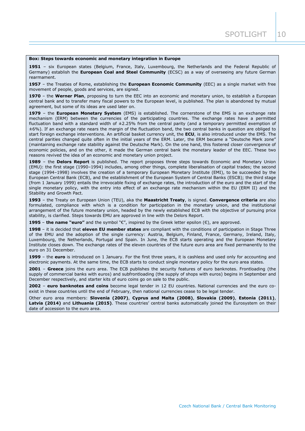#### **Box: Steps towards economic and monetary integration in Europe**

**1951** – six European states (Belgium, France, Italy, Luxembourg, the Netherlands and the Federal Republic of Germany) establish the **European Coal and Steel Community** (ECSC) as a way of overseeing any future German rearmament.

**1957** – the Treaties of Rome, establishing the **European Economic Community** (EEC) as a single market with free movement of people, goods and services, are signed.

**1970** – the **Werner Plan**, proposing to turn the EEC into an economic and monetary union, to establish a European central bank and to transfer many fiscal powers to the European level, is published. The plan is abandoned by mutual agreement, but some of its ideas are used later on.

**1979** – the **European Monetary System** (EMS) is established. The cornerstone of the EMS is an exchange rate mechanism (ERM) between the currencies of the participating countries. The exchange rates have a permitted fluctuation band with a standard width of  $\pm 2.25\%$  from the central parity (and a temporary permitted exemption of ±6%). If an exchange rate nears the margin of the fluctuation band, the two central banks in question are obliged to start foreign exchange interventions. An artificial basket currency unit, the **ECU**, is also introduced under the EMS. The central parities changed quite often in the initial years of the ERM. Later, the ERM became a "Deutsche Mark zone" (maintaining exchange rate stability against the Deutsche Mark). On the one hand, this fostered closer convergence of economic policies, and on the other, it made the German central bank the monetary leader of the EEC. These two reasons revived the idea of an economic and monetary union project.

**1989** – the **Delors Report** is published. The report proposes three steps towards Economic and Monetary Union (EMU): the first stage (1990–1994) includes, among other things, complete liberalisation of capital trades; the second stage (1994–1998) involves the creation of a temporary European Monetary Institute (EMI), to be succeeded by the European Central Bank (ECB), and the establishment of the European System of Central Banks (ESCB); the third stage (from 1 January 1999) entails the irrevocable fixing of exchange rates, the introduction of the euro and the start of the single monetary policy, with the entry into effect of an exchange rate mechanism within the EU (ERM II) and the Stability and Growth Pact.

**1993** – the Treaty on European Union (TEU), aka the **Maastricht Treaty**, is signed. **Convergence criteria** are also formulated, compliance with which is a condition for participation in the monetary union, and the institutional arrangement of the future monetary union, headed by the newly established ECB with the objective of pursuing price stability, is clarified. Steps towards EMU are approved in line with the Delors Report.

**1995** – **the name "euro"** and the symbol "€", inspired by the Greek letter epsilon (Є), are approved.

**1998** – it is decided that **eleven EU member states** are compliant with the conditions of participation in Stage Three of the EMU and the adoption of the single currency: Austria, Belgium, Finland, France, Germany, Ireland, Italy, Luxembourg, the Netherlands, Portugal and Spain. In June, the ECB starts operating and the European Monetary Institute closes down. The exchange rates of the eleven countries of the future euro area are fixed permanently to the euro on 31 December.

**1999** – the **euro** is introduced on 1 January. For the first three years, it is cashless and used only for accounting and electronic payments. At the same time, the ECB starts to conduct single monetary policy for the euro area states.

**2001** – **Greece** joins the euro area. The ECB publishes the security features of euro banknotes. Frontloading (the supply of commercial banks with euros) and subfrontloading (the supply of shops with euros) begins in September and December respectively, and starter kits of euro coins go on sale to the public.

**2002** – **euro banknotes and coins** become legal tender in 12 EU countries. National currencies and the euro coexist in these countries until the end of February, then national currencies cease to be legal tender.

Other euro area members: **Slovenia (2007)**, **Cyprus and Malta (2008)**, **Slovakia (2009)**, **Estonia (2011)**, **Latvia (2014)** and **Lithuania (2015)**. These countries' central banks automatically joined the Eurosystem on their date of accession to the euro area.